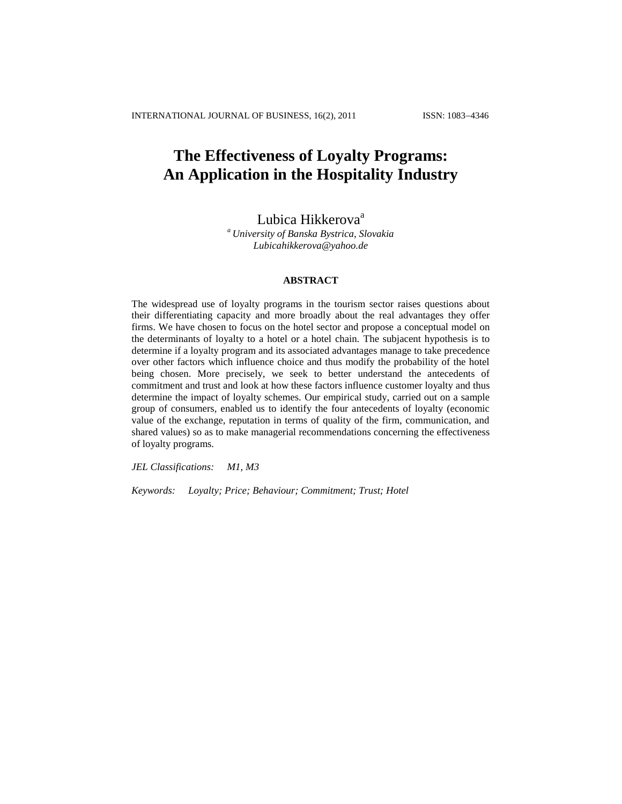# **The Effectiveness of Loyalty Programs: An Application in the Hospitality Industry**

# Lubica Hikkerova<sup>a</sup>

*<sup>a</sup>University of Banska Bystrica, Slovakia [Lubicahikkerova@yahoo.de](mailto:Lubicahikkerova@yahoo.de)*

#### **ABSTRACT**

The widespread use of loyalty programs in the tourism sector raises questions about their differentiating capacity and more broadly about the real advantages they offer firms. We have chosen to focus on the hotel sector and propose a conceptual model on the determinants of loyalty to a hotel or a hotel chain. The subjacent hypothesis is to determine if a loyalty program and its associated advantages manage to take precedence over other factors which influence choice and thus modify the probability of the hotel being chosen. More precisely, we seek to better understand the antecedents of commitment and trust and look at how these factors influence customer loyalty and thus determine the impact of loyalty schemes. Our empirical study, carried out on a sample group of consumers, enabled us to identify the four antecedents of loyalty (economic value of the exchange, reputation in terms of quality of the firm, communication, and shared values) so as to make managerial recommendations concerning the effectiveness of loyalty programs.

*JEL Classifications: M1, M3*

*Keywords: Loyalty; Price; Behaviour; Commitment; Trust; Hotel*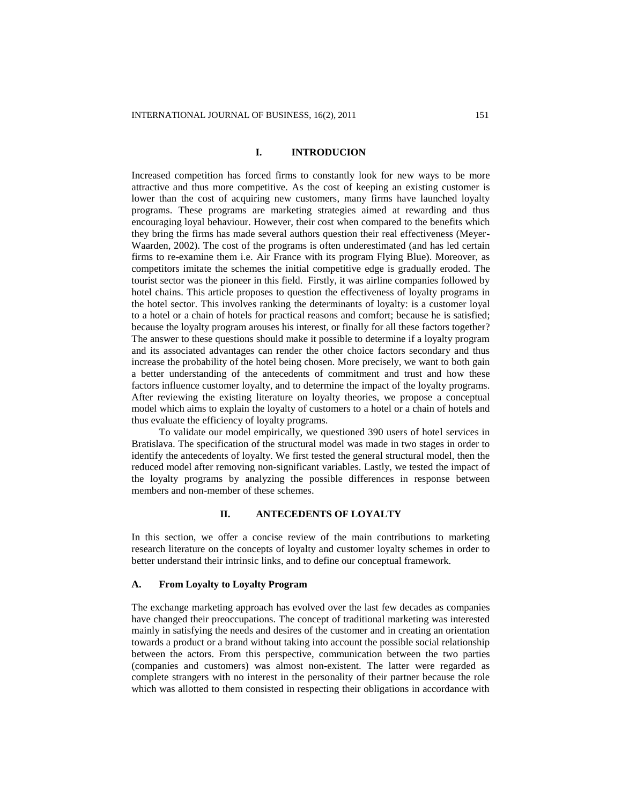# **I. INTRODUCION**

Increased competition has forced firms to constantly look for new ways to be more attractive and thus more competitive. As the cost of keeping an existing customer is lower than the cost of acquiring new customers, many firms have launched loyalty programs. These programs are marketing strategies aimed at rewarding and thus encouraging loyal behaviour. However, their cost when compared to the benefits which they bring the firms has made several authors question their real effectiveness (Meyer-Waarden, 2002). The cost of the programs is often underestimated (and has led certain firms to re-examine them i.e. Air France with its program Flying Blue). Moreover, as competitors imitate the schemes the initial competitive edge is gradually eroded. The tourist sector was the pioneer in this field. Firstly, it was airline companies followed by hotel chains. This article proposes to question the effectiveness of loyalty programs in the hotel sector. This involves ranking the determinants of loyalty: is a customer loyal to a hotel or a chain of hotels for practical reasons and comfort; because he is satisfied; because the loyalty program arouses his interest, or finally for all these factors together? The answer to these questions should make it possible to determine if a loyalty program and its associated advantages can render the other choice factors secondary and thus increase the probability of the hotel being chosen. More precisely, we want to both gain a better understanding of the antecedents of commitment and trust and how these factors influence customer loyalty, and to determine the impact of the loyalty programs. After reviewing the existing literature on loyalty theories, we propose a conceptual model which aims to explain the loyalty of customers to a hotel or a chain of hotels and thus evaluate the efficiency of loyalty programs.

To validate our model empirically, we questioned 390 users of hotel services in Bratislava. The specification of the structural model was made in two stages in order to identify the antecedents of loyalty. We first tested the general structural model, then the reduced model after removing non-significant variables. Lastly, we tested the impact of the loyalty programs by analyzing the possible differences in response between members and non-member of these schemes.

# **II. ANTECEDENTS OF LOYALTY**

In this section, we offer a concise review of the main contributions to marketing research literature on the concepts of loyalty and customer loyalty schemes in order to better understand their intrinsic links, and to define our conceptual framework.

#### **A. From Loyalty to Loyalty Program**

The exchange marketing approach has evolved over the last few decades as companies have changed their preoccupations. The concept of traditional marketing was interested mainly in satisfying the needs and desires of the customer and in creating an orientation towards a product or a brand without taking into account the possible social relationship between the actors. From this perspective, communication between the two parties (companies and customers) was almost non-existent. The latter were regarded as complete strangers with no interest in the personality of their partner because the role which was allotted to them consisted in respecting their obligations in accordance with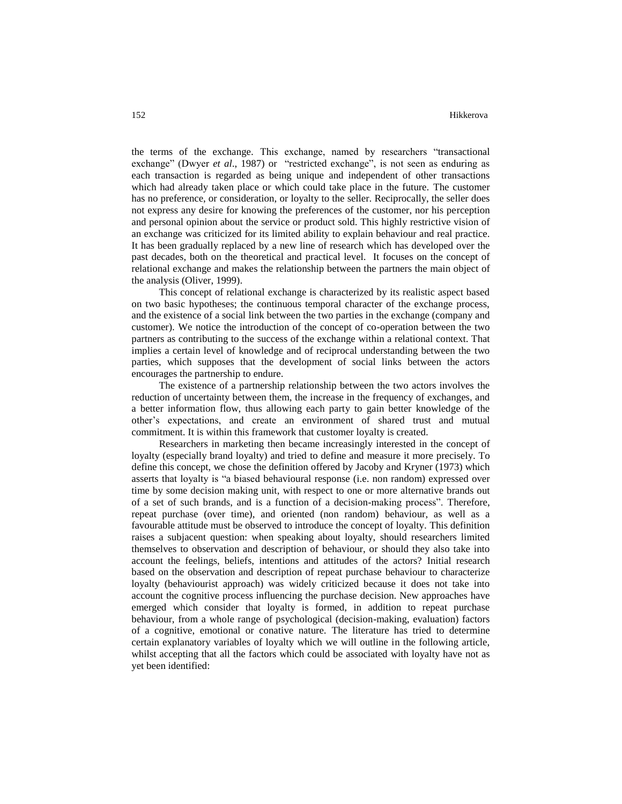the terms of the exchange. This exchange, named by researchers "transactional exchange" (Dwyer *et al.*, 1987) or "restricted exchange", is not seen as enduring as each transaction is regarded as being unique and independent of other transactions which had already taken place or which could take place in the future. The customer has no preference, or consideration, or loyalty to the seller. Reciprocally, the seller does not express any desire for knowing the preferences of the customer, nor his perception and personal opinion about the service or product sold. This highly restrictive vision of an exchange was criticized for its limited ability to explain behaviour and real practice. It has been gradually replaced by a new line of research which has developed over the past decades, both on the theoretical and practical level. It focuses on the concept of relational exchange and makes the relationship between the partners the main object of the analysis (Oliver, 1999).

This concept of relational exchange is characterized by its realistic aspect based on two basic hypotheses; the continuous temporal character of the exchange process, and the existence of a social link between the two parties in the exchange (company and customer). We notice the introduction of the concept of co-operation between the two partners as contributing to the success of the exchange within a relational context. That implies a certain level of knowledge and of reciprocal understanding between the two parties, which supposes that the development of social links between the actors encourages the partnership to endure.

The existence of a partnership relationship between the two actors involves the reduction of uncertainty between them, the increase in the frequency of exchanges, and a better information flow, thus allowing each party to gain better knowledge of the other"s expectations, and create an environment of shared trust and mutual commitment. It is within this framework that customer loyalty is created.

Researchers in marketing then became increasingly interested in the concept of loyalty (especially brand loyalty) and tried to define and measure it more precisely. To define this concept, we chose the definition offered by Jacoby and Kryner (1973) which asserts that loyalty is "a biased behavioural response (i.e. non random) expressed over time by some decision making unit, with respect to one or more alternative brands out of a set of such brands, and is a function of a decision-making process". Therefore, repeat purchase (over time), and oriented (non random) behaviour, as well as a favourable attitude must be observed to introduce the concept of loyalty. This definition raises a subjacent question: when speaking about loyalty, should researchers limited themselves to observation and description of behaviour, or should they also take into account the feelings, beliefs, intentions and attitudes of the actors? Initial research based on the observation and description of repeat purchase behaviour to characterize loyalty (behaviourist approach) was widely criticized because it does not take into account the cognitive process influencing the purchase decision. New approaches have emerged which consider that loyalty is formed, in addition to repeat purchase behaviour, from a whole range of psychological (decision-making, evaluation) factors of a cognitive, emotional or conative nature. The literature has tried to determine certain explanatory variables of loyalty which we will outline in the following article, whilst accepting that all the factors which could be associated with loyalty have not as yet been identified: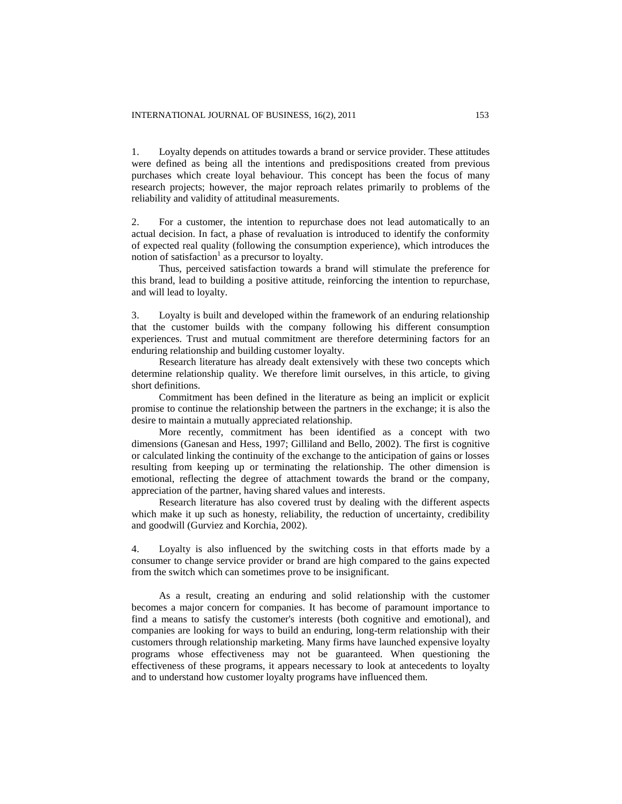1. Loyalty depends on attitudes towards a brand or service provider. These attitudes were defined as being all the intentions and predispositions created from previous purchases which create loyal behaviour. This concept has been the focus of many research projects; however, the major reproach relates primarily to problems of the reliability and validity of attitudinal measurements.

2. For a customer, the intention to repurchase does not lead automatically to an actual decision. In fact, a phase of revaluation is introduced to identify the conformity of expected real quality (following the consumption experience), which introduces the notion of satisfaction<sup>1</sup> as a precursor to loyalty.

Thus, perceived satisfaction towards a brand will stimulate the preference for this brand, lead to building a positive attitude, reinforcing the intention to repurchase, and will lead to loyalty.

3. Loyalty is built and developed within the framework of an enduring relationship that the customer builds with the company following his different consumption experiences. Trust and mutual commitment are therefore determining factors for an enduring relationship and building customer loyalty.

Research literature has already dealt extensively with these two concepts which determine relationship quality. We therefore limit ourselves, in this article, to giving short definitions.

Commitment has been defined in the literature as being an implicit or explicit promise to continue the relationship between the partners in the exchange; it is also the desire to maintain a mutually appreciated relationship.

More recently, commitment has been identified as a concept with two dimensions (Ganesan and Hess, 1997; Gilliland and Bello, 2002). The first is cognitive or calculated linking the continuity of the exchange to the anticipation of gains or losses resulting from keeping up or terminating the relationship. The other dimension is emotional, reflecting the degree of attachment towards the brand or the company, appreciation of the partner, having shared values and interests.

Research literature has also covered trust by dealing with the different aspects which make it up such as honesty, reliability, the reduction of uncertainty, credibility and goodwill (Gurviez and Korchia, 2002).

4. Loyalty is also influenced by the switching costs in that efforts made by a consumer to change service provider or brand are high compared to the gains expected from the switch which can sometimes prove to be insignificant.

As a result, creating an enduring and solid relationship with the customer becomes a major concern for companies. It has become of paramount importance to find a means to satisfy the customer's interests (both cognitive and emotional), and companies are looking for ways to build an enduring, long-term relationship with their customers through relationship marketing. Many firms have launched expensive loyalty programs whose effectiveness may not be guaranteed. When questioning the effectiveness of these programs, it appears necessary to look at antecedents to loyalty and to understand how customer loyalty programs have influenced them.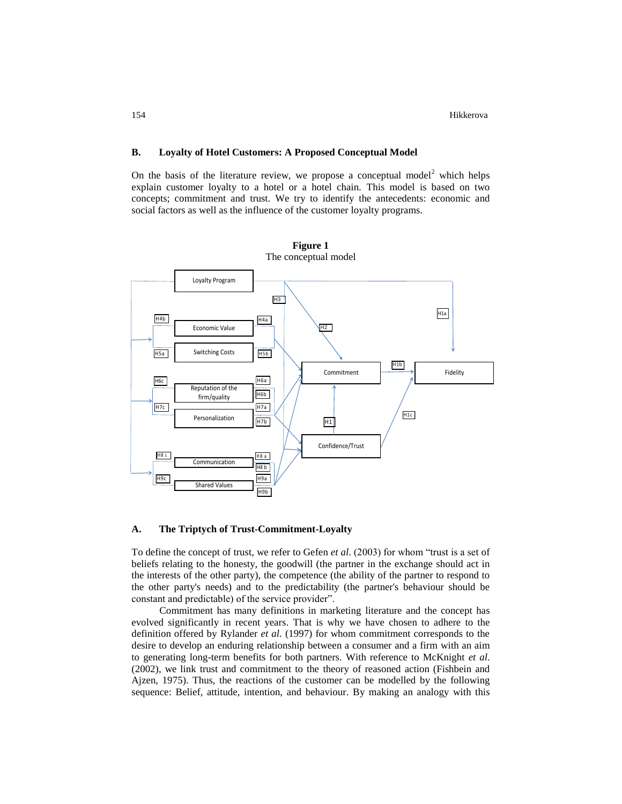## **B. Loyalty of Hotel Customers: A Proposed Conceptual Model**

On the basis of the literature review, we propose a conceptual model<sup>2</sup> which helps explain customer loyalty to a hotel or a hotel chain. This model is based on two concepts; commitment and trust. We try to identify the antecedents: economic and social factors as well as the influence of the customer loyalty programs.



**Figure 1**

#### **A. The Triptych of Trust-Commitment-Loyalty**

To define the concept of trust, we refer to Gefen *et al*. (2003) for whom "trust is a set of beliefs relating to the honesty, the goodwill (the partner in the exchange should act in the interests of the other party), the competence (the ability of the partner to respond to the other party's needs) and to the predictability (the partner's behaviour should be constant and predictable) of the service provider".

Commitment has many definitions in marketing literature and the concept has evolved significantly in recent years. That is why we have chosen to adhere to the definition offered by Rylander *et al*. (1997) for whom commitment corresponds to the desire to develop an enduring relationship between a consumer and a firm with an aim to generating long-term benefits for both partners. With reference to McKnight *et al*. (2002), we link trust and commitment to the theory of reasoned action (Fishbein and Ajzen, 1975). Thus, the reactions of the customer can be modelled by the following sequence: Belief, attitude, intention, and behaviour. By making an analogy with this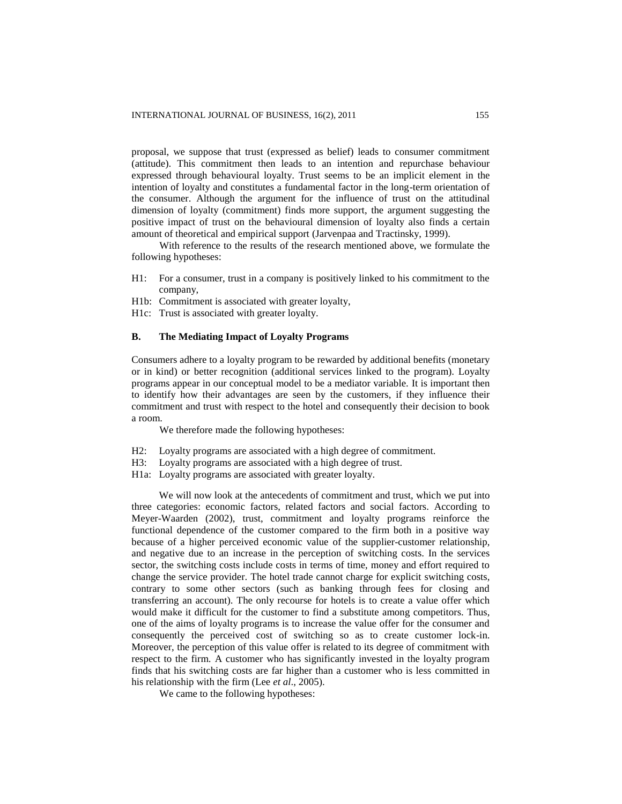proposal, we suppose that trust (expressed as belief) leads to consumer commitment (attitude). This commitment then leads to an intention and repurchase behaviour expressed through behavioural loyalty. Trust seems to be an implicit element in the intention of loyalty and constitutes a fundamental factor in the long-term orientation of the consumer. Although the argument for the influence of trust on the attitudinal dimension of loyalty (commitment) finds more support, the argument suggesting the positive impact of trust on the behavioural dimension of loyalty also finds a certain amount of theoretical and empirical support (Jarvenpaa and Tractinsky, 1999).

With reference to the results of the research mentioned above, we formulate the following hypotheses:

- H1: For a consumer, trust in a company is positively linked to his commitment to the company,
- H1b: Commitment is associated with greater loyalty,
- H1c: Trust is associated with greater loyalty.

# **B. The Mediating Impact of Loyalty Programs**

Consumers adhere to a loyalty program to be rewarded by additional benefits (monetary or in kind) or better recognition (additional services linked to the program). Loyalty programs appear in our conceptual model to be a mediator variable. It is important then to identify how their advantages are seen by the customers, if they influence their commitment and trust with respect to the hotel and consequently their decision to book a room.

We therefore made the following hypotheses:

- H2: Loyalty programs are associated with a high degree of commitment.
- H3: Loyalty programs are associated with a high degree of trust.
- H1a: Loyalty programs are associated with greater loyalty.

We will now look at the antecedents of commitment and trust, which we put into three categories: economic factors, related factors and social factors. According to Meyer-Waarden (2002), trust, commitment and loyalty programs reinforce the functional dependence of the customer compared to the firm both in a positive way because of a higher perceived economic value of the supplier-customer relationship, and negative due to an increase in the perception of switching costs. In the services sector, the switching costs include costs in terms of time, money and effort required to change the service provider. The hotel trade cannot charge for explicit switching costs, contrary to some other sectors (such as banking through fees for closing and transferring an account). The only recourse for hotels is to create a value offer which would make it difficult for the customer to find a substitute among competitors. Thus, one of the aims of loyalty programs is to increase the value offer for the consumer and consequently the perceived cost of switching so as to create customer lock-in. Moreover, the perception of this value offer is related to its degree of commitment with respect to the firm. A customer who has significantly invested in the loyalty program finds that his switching costs are far higher than a customer who is less committed in his relationship with the firm (Lee *et al*., 2005).

We came to the following hypotheses: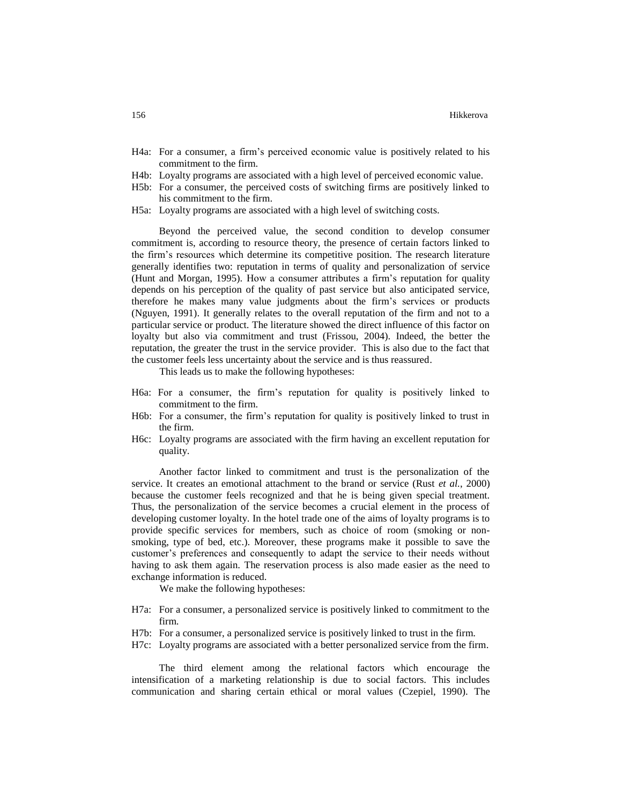- H4a: For a consumer, a firm"s perceived economic value is positively related to his commitment to the firm.
- H4b: Loyalty programs are associated with a high level of perceived economic value.
- H5b: For a consumer, the perceived costs of switching firms are positively linked to his commitment to the firm.
- H5a: Loyalty programs are associated with a high level of switching costs.

Beyond the perceived value, the second condition to develop consumer commitment is, according to resource theory, the presence of certain factors linked to the firm"s resources which determine its competitive position. The research literature generally identifies two: reputation in terms of quality and personalization of service (Hunt and Morgan, 1995). How a consumer attributes a firm"s reputation for quality depends on his perception of the quality of past service but also anticipated service, therefore he makes many value judgments about the firm"s services or products (Nguyen, 1991). It generally relates to the overall reputation of the firm and not to a particular service or product. The literature showed the direct influence of this factor on loyalty but also via commitment and trust (Frissou, 2004). Indeed, the better the reputation, the greater the trust in the service provider. This is also due to the fact that the customer feels less uncertainty about the service and is thus reassured.

This leads us to make the following hypotheses:

- H6a: For a consumer, the firm"s reputation for quality is positively linked to commitment to the firm.
- H6b: For a consumer, the firm"s reputation for quality is positively linked to trust in the firm.
- H6c: Loyalty programs are associated with the firm having an excellent reputation for quality.

Another factor linked to commitment and trust is the personalization of the service. It creates an emotional attachment to the brand or service (Rust *et al.*, 2000) because the customer feels recognized and that he is being given special treatment. Thus, the personalization of the service becomes a crucial element in the process of developing customer loyalty. In the hotel trade one of the aims of loyalty programs is to provide specific services for members, such as choice of room (smoking or nonsmoking, type of bed, etc.). Moreover, these programs make it possible to save the customer"s preferences and consequently to adapt the service to their needs without having to ask them again. The reservation process is also made easier as the need to exchange information is reduced.

We make the following hypotheses:

- H7a: For a consumer, a personalized service is positively linked to commitment to the firm.
- H7b: For a consumer, a personalized service is positively linked to trust in the firm.
- H7c: Loyalty programs are associated with a better personalized service from the firm.

The third element among the relational factors which encourage the intensification of a marketing relationship is due to social factors. This includes communication and sharing certain ethical or moral values (Czepiel, 1990). The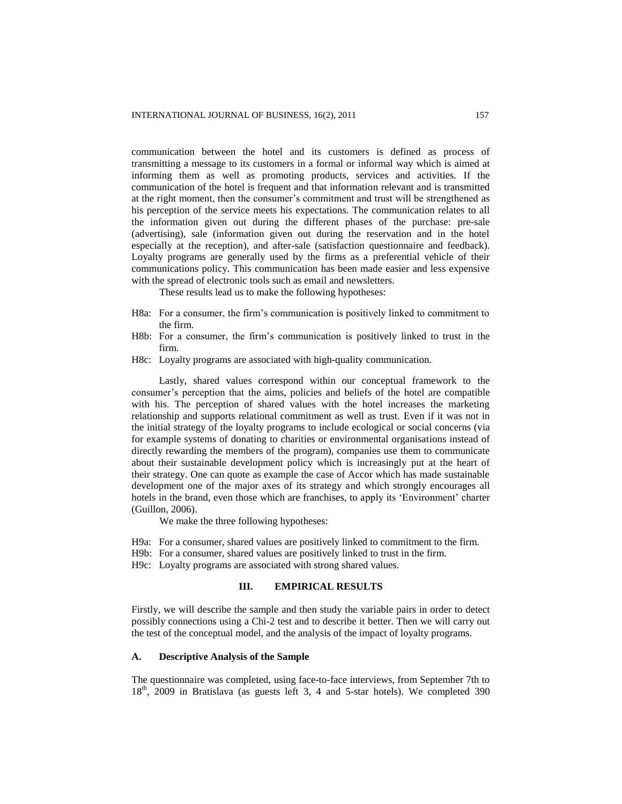communication between the hotel and its customers is defined as process of transmitting a message to its customers in a formal or informal way which is aimed at informing them as well as promoting products, services and activities. If the communication of the hotel is frequent and that information relevant and is transmitted at the right moment, then the consumer"s commitment and trust will be strengthened as his perception of the service meets his expectations. The communication relates to all the information given out during the different phases of the purchase: pre-sale (advertising), sale (information given out during the reservation and in the hotel especially at the reception), and after-sale (satisfaction questionnaire and feedback). Loyalty programs are generally used by the firms as a preferential vehicle of their communications policy. This communication has been made easier and less expensive with the spread of electronic tools such as email and newsletters.

These results lead us to make the following hypotheses:

- H8a: For a consumer, the firm"s communication is positively linked to commitment to the firm.
- H8b: For a consumer, the firm"s communication is positively linked to trust in the firm.
- H8c: Loyalty programs are associated with high-quality communication.

Lastly, shared values correspond within our conceptual framework to the consumer"s perception that the aims, policies and beliefs of the hotel are compatible with his. The perception of shared values with the hotel increases the marketing relationship and supports relational commitment as well as trust. Even if it was not in the initial strategy of the loyalty programs to include ecological or social concerns (via for example systems of donating to charities or environmental organisations instead of directly rewarding the members of the program), companies use them to communicate about their sustainable development policy which is increasingly put at the heart of their strategy. One can quote as example the case of Accor which has made sustainable development one of the major axes of its strategy and which strongly encourages all hotels in the brand, even those which are franchises, to apply its "Environment" charter (Guillon, 2006).

We make the three following hypotheses:

H9a: For a consumer, shared values are positively linked to commitment to the firm.

H9b: For a consumer, shared values are positively linked to trust in the firm.

H9c: Loyalty programs are associated with strong shared values.

#### **III. EMPIRICAL RESULTS**

Firstly, we will describe the sample and then study the variable pairs in order to detect possibly connections using a Chi-2 test and to describe it better. Then we will carry out the test of the conceptual model, and the analysis of the impact of loyalty programs.

# **A. Descriptive Analysis of the Sample**

The questionnaire was completed, using face-to-face interviews, from September 7th to 18<sup>th</sup>, 2009 in Bratislava (as guests left 3, 4 and 5-star hotels). We completed 390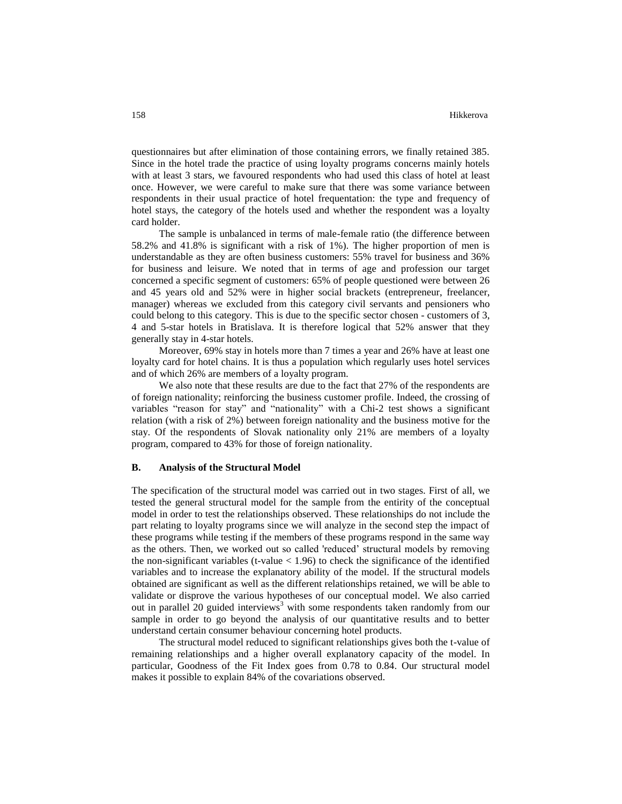questionnaires but after elimination of those containing errors, we finally retained 385. Since in the hotel trade the practice of using loyalty programs concerns mainly hotels with at least 3 stars, we favoured respondents who had used this class of hotel at least once. However, we were careful to make sure that there was some variance between respondents in their usual practice of hotel frequentation: the type and frequency of hotel stays, the category of the hotels used and whether the respondent was a loyalty card holder.

The sample is unbalanced in terms of male-female ratio (the difference between 58.2% and 41.8% is significant with a risk of 1%). The higher proportion of men is understandable as they are often business customers: 55% travel for business and 36% for business and leisure. We noted that in terms of age and profession our target concerned a specific segment of customers: 65% of people questioned were between 26 and 45 years old and 52% were in higher social brackets (entrepreneur, freelancer, manager) whereas we excluded from this category civil servants and pensioners who could belong to this category. This is due to the specific sector chosen - customers of 3, 4 and 5-star hotels in Bratislava. It is therefore logical that 52% answer that they generally stay in 4-star hotels.

Moreover, 69% stay in hotels more than 7 times a year and 26% have at least one loyalty card for hotel chains. It is thus a population which regularly uses hotel services and of which 26% are members of a loyalty program.

We also note that these results are due to the fact that 27% of the respondents are of foreign nationality; reinforcing the business customer profile. Indeed, the crossing of variables "reason for stay" and "nationality" with a Chi-2 test shows a significant relation (with a risk of 2%) between foreign nationality and the business motive for the stay. Of the respondents of Slovak nationality only 21% are members of a loyalty program, compared to 43% for those of foreign nationality.

#### **B. Analysis of the Structural Model**

The specification of the structural model was carried out in two stages. First of all, we tested the general structural model for the sample from the entirity of the conceptual model in order to test the relationships observed. These relationships do not include the part relating to loyalty programs since we will analyze in the second step the impact of these programs while testing if the members of these programs respond in the same way as the others. Then, we worked out so called 'reduced" structural models by removing the non-significant variables (t-value  $<$  1.96) to check the significance of the identified variables and to increase the explanatory ability of the model. If the structural models obtained are significant as well as the different relationships retained, we will be able to validate or disprove the various hypotheses of our conceptual model. We also carried out in parallel 20 guided interviews<sup>3</sup> with some respondents taken randomly from our sample in order to go beyond the analysis of our quantitative results and to better understand certain consumer behaviour concerning hotel products.

The structural model reduced to significant relationships gives both the t-value of remaining relationships and a higher overall explanatory capacity of the model. In particular, Goodness of the Fit Index goes from 0.78 to 0.84. Our structural model makes it possible to explain 84% of the covariations observed.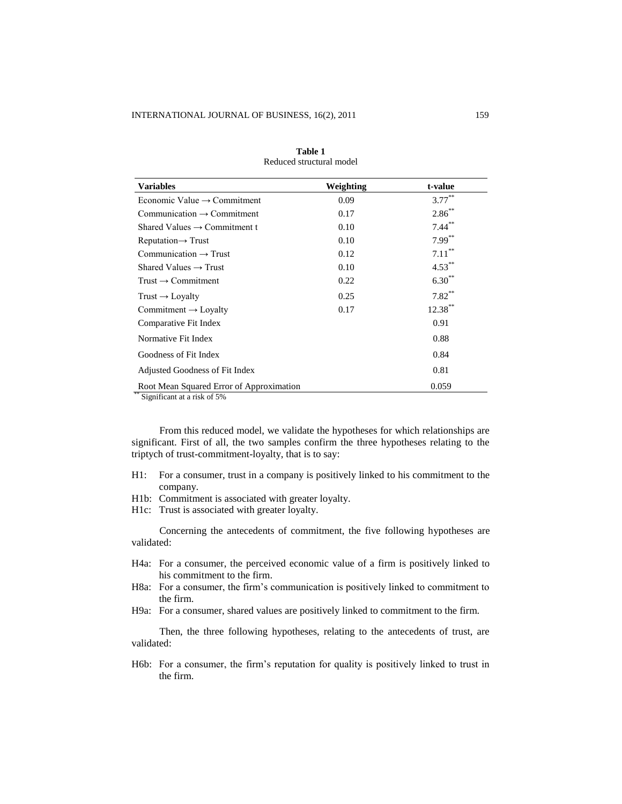| <b>Variables</b>                         | Weighting | t-value    |
|------------------------------------------|-----------|------------|
| Economic Value $\rightarrow$ Commitment  | 0.09      | $3.77***$  |
| Communication $\rightarrow$ Commitment   | 0.17      | $2.86***$  |
| Shared Values $\rightarrow$ Commitment t | 0.10      | $7.44***$  |
| $Reputation \rightarrow Trust$           | 0.10      | $7.99***$  |
| Communication $\rightarrow$ Trust        | 0.12      | $7.11***$  |
| Shared Values $\rightarrow$ Trust        | 0.10      | $4.53***$  |
| Trust $\rightarrow$ Commitment           | 0.22      | $6.30**$   |
| $Trust \rightarrow Loyalty$              | 0.25      | $7.82***$  |
| Commitment $\rightarrow$ Loyalty         | 0.17      | $12.38***$ |
| Comparative Fit Index                    |           | 0.91       |
| Normative Fit Index                      |           | 0.88       |
| Goodness of Fit Index                    |           | 0.84       |
| Adjusted Goodness of Fit Index           |           | 0.81       |
| Root Mean Squared Error of Approximation | 0.059     |            |

| Table 1                  |  |
|--------------------------|--|
| Reduced structural model |  |

Significant at a risk of 5%

From this reduced model, we validate the hypotheses for which relationships are significant. First of all, the two samples confirm the three hypotheses relating to the triptych of trust-commitment-loyalty, that is to say:

- H1: For a consumer, trust in a company is positively linked to his commitment to the company.
- H1b: Commitment is associated with greater loyalty.
- H1c: Trust is associated with greater loyalty.

Concerning the antecedents of commitment, the five following hypotheses are validated:

- H4a: For a consumer, the perceived economic value of a firm is positively linked to his commitment to the firm.
- H8a: For a consumer, the firm"s communication is positively linked to commitment to the firm.
- H9a: For a consumer, shared values are positively linked to commitment to the firm.

Then, the three following hypotheses, relating to the antecedents of trust, are validated:

H6b: For a consumer, the firm"s reputation for quality is positively linked to trust in the firm.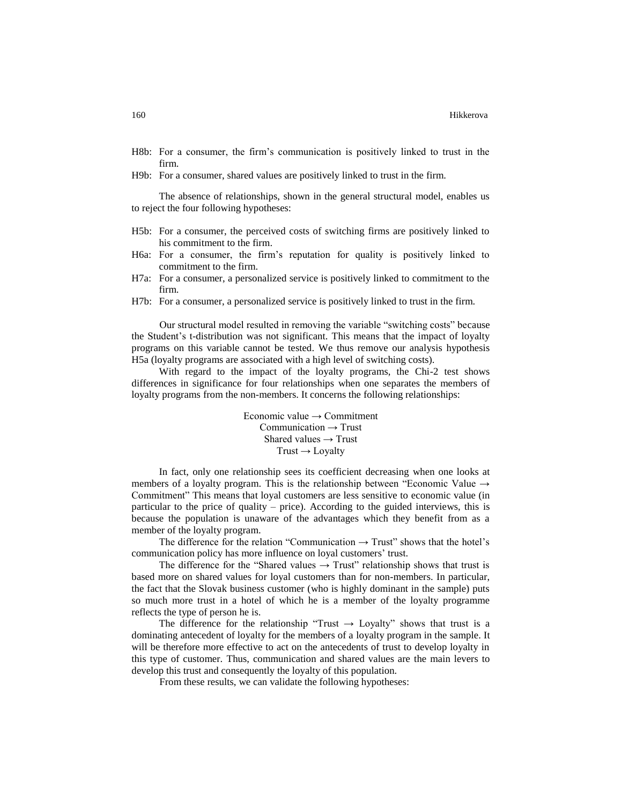#### 160 Hikkerova

- H8b: For a consumer, the firm"s communication is positively linked to trust in the firm.
- H9b: For a consumer, shared values are positively linked to trust in the firm.

The absence of relationships, shown in the general structural model, enables us to reject the four following hypotheses:

- H5b: For a consumer, the perceived costs of switching firms are positively linked to his commitment to the firm.
- H6a: For a consumer, the firm"s reputation for quality is positively linked to commitment to the firm.
- H7a: For a consumer, a personalized service is positively linked to commitment to the firm.
- H7b: For a consumer, a personalized service is positively linked to trust in the firm.

Our structural model resulted in removing the variable "switching costs" because the Student"s t-distribution was not significant. This means that the impact of loyalty programs on this variable cannot be tested. We thus remove our analysis hypothesis H5a (loyalty programs are associated with a high level of switching costs).

With regard to the impact of the loyalty programs, the Chi-2 test shows differences in significance for four relationships when one separates the members of loyalty programs from the non-members. It concerns the following relationships:

> Economic value  $\rightarrow$  Commitment Communication  $\rightarrow$  Trust Shared values  $\rightarrow$  Trust  $Trust \rightarrow Loyalty$

In fact, only one relationship sees its coefficient decreasing when one looks at members of a loyalty program. This is the relationship between "Economic Value  $\rightarrow$ Commitment" This means that loyal customers are less sensitive to economic value (in particular to the price of quality – price). According to the guided interviews, this is because the population is unaware of the advantages which they benefit from as a member of the loyalty program.

The difference for the relation "Communication  $\rightarrow$  Trust" shows that the hotel's communication policy has more influence on loyal customers' trust.

The difference for the "Shared values  $\rightarrow$  Trust" relationship shows that trust is based more on shared values for loyal customers than for non-members. In particular, the fact that the Slovak business customer (who is highly dominant in the sample) puts so much more trust in a hotel of which he is a member of the loyalty programme reflects the type of person he is.

The difference for the relationship "Trust  $\rightarrow$  Loyalty" shows that trust is a dominating antecedent of loyalty for the members of a loyalty program in the sample. It will be therefore more effective to act on the antecedents of trust to develop loyalty in this type of customer. Thus, communication and shared values are the main levers to develop this trust and consequently the loyalty of this population.

From these results, we can validate the following hypotheses: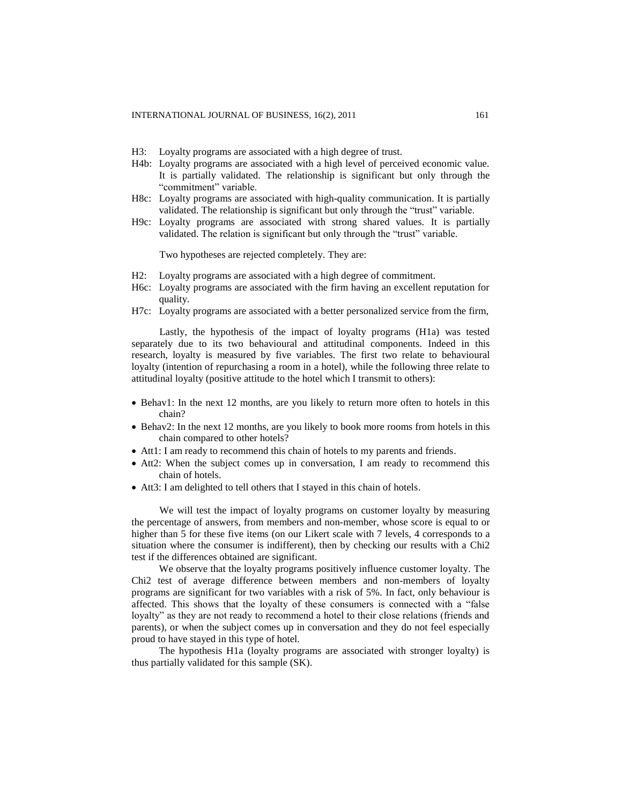- H3: Loyalty programs are associated with a high degree of trust.
- H4b: Loyalty programs are associated with a high level of perceived economic value. It is partially validated. The relationship is significant but only through the "commitment" variable.
- H8c: Loyalty programs are associated with high-quality communication. It is partially validated. The relationship is significant but only through the "trust" variable.
- H9c: Loyalty programs are associated with strong shared values. It is partially validated. The relation is significant but only through the "trust" variable.

Two hypotheses are rejected completely. They are:

- H2: Loyalty programs are associated with a high degree of commitment.
- H6c: Loyalty programs are associated with the firm having an excellent reputation for quality.
- H7c: Loyalty programs are associated with a better personalized service from the firm,

Lastly, the hypothesis of the impact of loyalty programs (H1a) was tested separately due to its two behavioural and attitudinal components. Indeed in this research, loyalty is measured by five variables. The first two relate to behavioural loyalty (intention of repurchasing a room in a hotel), while the following three relate to attitudinal loyalty (positive attitude to the hotel which I transmit to others):

- Behav1: In the next 12 months, are you likely to return more often to hotels in this chain?
- Behav2: In the next 12 months, are you likely to book more rooms from hotels in this chain compared to other hotels?
- Att1: I am ready to recommend this chain of hotels to my parents and friends.
- Att2: When the subject comes up in conversation, I am ready to recommend this chain of hotels.
- Att3: I am delighted to tell others that I stayed in this chain of hotels.

We will test the impact of loyalty programs on customer loyalty by measuring the percentage of answers, from members and non-member, whose score is equal to or higher than 5 for these five items (on our Likert scale with 7 levels, 4 corresponds to a situation where the consumer is indifferent), then by checking our results with a Chi2 test if the differences obtained are significant.

We observe that the loyalty programs positively influence customer loyalty. The Chi2 test of average difference between members and non-members of loyalty programs are significant for two variables with a risk of 5%. In fact, only behaviour is affected. This shows that the loyalty of these consumers is connected with a "false loyalty" as they are not ready to recommend a hotel to their close relations (friends and parents), or when the subject comes up in conversation and they do not feel especially proud to have stayed in this type of hotel.

The hypothesis H1a (loyalty programs are associated with stronger loyalty) is thus partially validated for this sample (SK).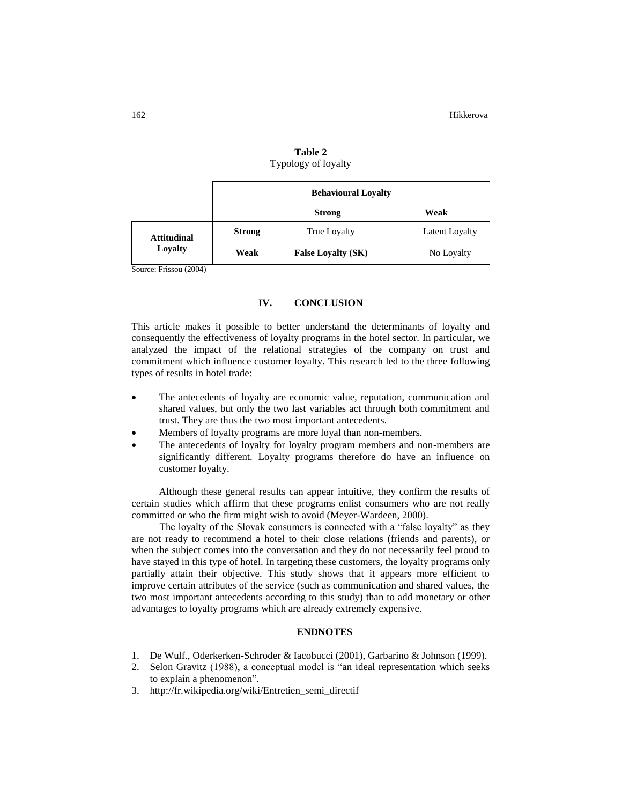|                               | <b>Behavioural Loyalty</b> |                           |                |
|-------------------------------|----------------------------|---------------------------|----------------|
|                               |                            | <b>Strong</b>             | Weak           |
| <b>Attitudinal</b><br>Loyalty | <b>Strong</b>              | True Loyalty              | Latent Loyalty |
|                               | Weak                       | <b>False Loyalty (SK)</b> | No Loyalty     |

| Table 2             |
|---------------------|
| Typology of loyalty |

Source: Frissou (2004)

# **IV. CONCLUSION**

This article makes it possible to better understand the determinants of loyalty and consequently the effectiveness of loyalty programs in the hotel sector. In particular, we analyzed the impact of the relational strategies of the company on trust and commitment which influence customer loyalty. This research led to the three following types of results in hotel trade:

- The antecedents of loyalty are economic value, reputation, communication and shared values, but only the two last variables act through both commitment and trust. They are thus the two most important antecedents.
- Members of loyalty programs are more loyal than non-members.
- The antecedents of loyalty for loyalty program members and non-members are significantly different. Loyalty programs therefore do have an influence on customer loyalty.

Although these general results can appear intuitive, they confirm the results of certain studies which affirm that these programs enlist consumers who are not really committed or who the firm might wish to avoid (Meyer-Wardeen, 2000).

The loyalty of the Slovak consumers is connected with a "false loyalty" as they are not ready to recommend a hotel to their close relations (friends and parents), or when the subject comes into the conversation and they do not necessarily feel proud to have stayed in this type of hotel. In targeting these customers, the loyalty programs only partially attain their objective. This study shows that it appears more efficient to improve certain attributes of the service (such as communication and shared values, the two most important antecedents according to this study) than to add monetary or other advantages to loyalty programs which are already extremely expensive.

## **ENDNOTES**

- 1. De Wulf., Oderkerken-Schroder & Iacobucci (2001), Garbarino & Johnson (1999).
- 2. Selon Gravitz (1988), a conceptual model is "an ideal representation which seeks to explain a phenomenon".
- 3. [http://fr.wikipedia.org/wiki/Entretien\\_semi\\_directif](http://fr.wikipedia.org/wiki/Entretien_semi_directif)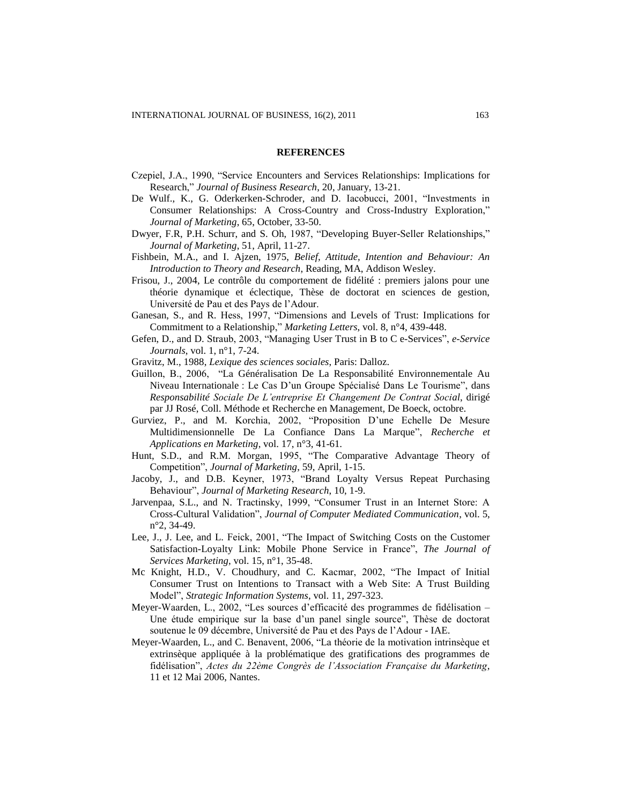#### **REFERENCES**

- Czepiel, J.A., 1990, "Service Encounters and Services Relationships: Implications for Research," *Journal of Business Research*, 20, January, 13-21.
- De Wulf., K., G. Oderkerken-Schroder, and D. Iacobucci, 2001, "Investments in Consumer Relationships: A Cross-Country and Cross-Industry Exploration," *Journal of Marketing*, 65, October, 33-50.
- Dwyer, F.R, P.H. Schurr, and S. Oh, 1987, "Developing Buyer-Seller Relationships," *Journal of Marketing*, 51, April, 11-27.
- Fishbein, M.A., and I. Ajzen, 1975, *Belief, Attitude, Intention and Behaviour: An Introduction to Theory and Research*, Reading, MA, Addison Wesley.
- Frisou, J., 2004, Le contrôle du comportement de fidélité : premiers jalons pour une théorie dynamique et éclectique, Thèse de doctorat en sciences de gestion, Université de Pau et des Pays de l"Adour.
- Ganesan, S., and R. Hess, 1997, "Dimensions and Levels of Trust: Implications for Commitment to a Relationship," *Marketing Letters*, vol. 8, n°4, 439-448.
- Gefen, D., and D. Straub, 2003, "Managing User Trust in B to C e-Services", *e-Service Journals*, vol. 1, n°1, 7-24.
- Gravitz, M., 1988, *Lexique des sciences sociales*, Paris: Dalloz.
- Guillon, B., 2006, "La Généralisation De La Responsabilité Environnementale Au Niveau Internationale : Le Cas D"un Groupe Spécialisé Dans Le Tourisme", dans *Responsabilité Sociale De L'entreprise Et Changement De Contrat Social*, dirigé par JJ Rosé, Coll. Méthode et Recherche en Management, De Boeck, octobre.
- Gurviez, P., and M. Korchia, 2002, "Proposition D"une Echelle De Mesure Multidimensionnelle De La Confiance Dans La Marque", *Recherche et Applications en Marketing*, vol. 17, n°3, 41-61.
- Hunt, S.D., and R.M. Morgan, 1995, "The Comparative Advantage Theory of Competition", *Journal of Marketing*, 59, April, 1-15.
- Jacoby, J., and D.B. Keyner, 1973, "Brand Loyalty Versus Repeat Purchasing Behaviour", *Journal of Marketing Research*, 10, 1-9.
- Jarvenpaa, S.L., and N. Tractinsky, 1999, "Consumer Trust in an Internet Store: A Cross-Cultural Validation", *Journal of Computer Mediated Communication*, vol. 5, n°2, 34-49.
- Lee, J., J. Lee, and L. Feick, 2001, "The Impact of Switching Costs on the Customer Satisfaction-Loyalty Link: Mobile Phone Service in France", *The Journal of Services Marketing*, vol. 15, n°1, 35-48.
- Mc Knight, H.D., V. Choudhury, and C. Kacmar, 2002, "The Impact of Initial Consumer Trust on Intentions to Transact with a Web Site: A Trust Building Model", *Strategic Information Systems*, vol. 11, 297-323.
- Meyer-Waarden, L., 2002, "Les sources d"efficacité des programmes de fidélisation Une étude empirique sur la base d"un panel single source", Thèse de doctorat soutenue le 09 décembre, Université de Pau et des Pays de l"Adour - IAE.
- Meyer-Waarden, L., and C. Benavent, 2006, "La théorie de la motivation intrinsèque et extrinsèque appliquée à la problématique des gratifications des programmes de fidélisation", *Actes du 22ème Congrès de l'Association Française du Marketing*, 11 et 12 Mai 2006, Nantes.